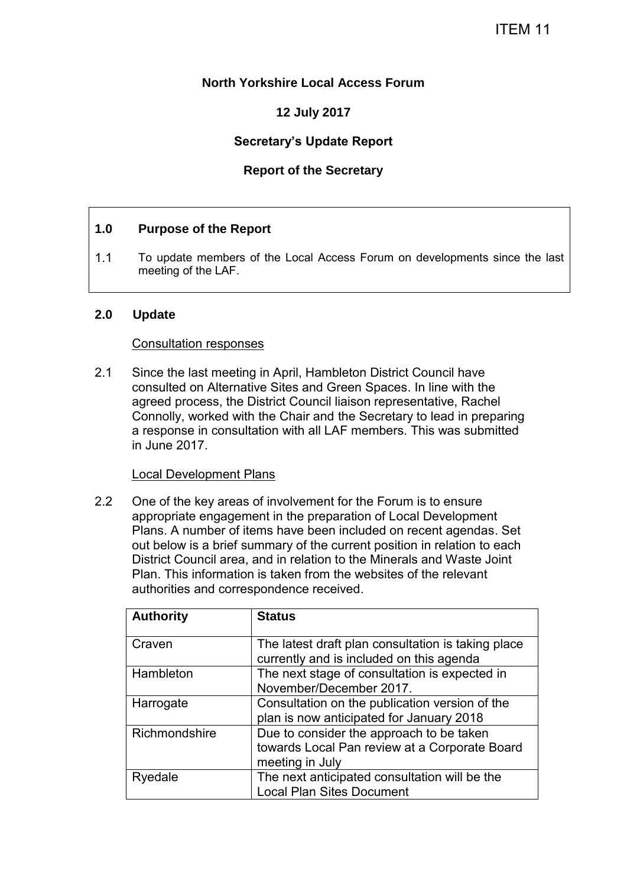## **North Yorkshire Local Access Forum**

# **12 July 2017**

# **Secretary's Update Report**

## **Report of the Secretary**

## **1.0 Purpose of the Report**

1.1 To update members of the Local Access Forum on developments since the last meeting of the LAF.

#### **2.0 Update**

#### Consultation responses

2.1 Since the last meeting in April, Hambleton District Council have consulted on Alternative Sites and Green Spaces. In line with the agreed process, the District Council liaison representative, Rachel Connolly, worked with the Chair and the Secretary to lead in preparing a response in consultation with all LAF members. This was submitted in June 2017.

#### Local Development Plans

2.2 One of the key areas of involvement for the Forum is to ensure appropriate engagement in the preparation of Local Development Plans. A number of items have been included on recent agendas. Set out below is a brief summary of the current position in relation to each District Council area, and in relation to the Minerals and Waste Joint Plan. This information is taken from the websites of the relevant authorities and correspondence received.

| <b>Authority</b> | <b>Status</b>                                                                                                |
|------------------|--------------------------------------------------------------------------------------------------------------|
| Craven           | The latest draft plan consultation is taking place<br>currently and is included on this agenda               |
| Hambleton        | The next stage of consultation is expected in<br>November/December 2017.                                     |
| Harrogate        | Consultation on the publication version of the<br>plan is now anticipated for January 2018                   |
| Richmondshire    | Due to consider the approach to be taken<br>towards Local Pan review at a Corporate Board<br>meeting in July |
| Ryedale          | The next anticipated consultation will be the<br><b>Local Plan Sites Document</b>                            |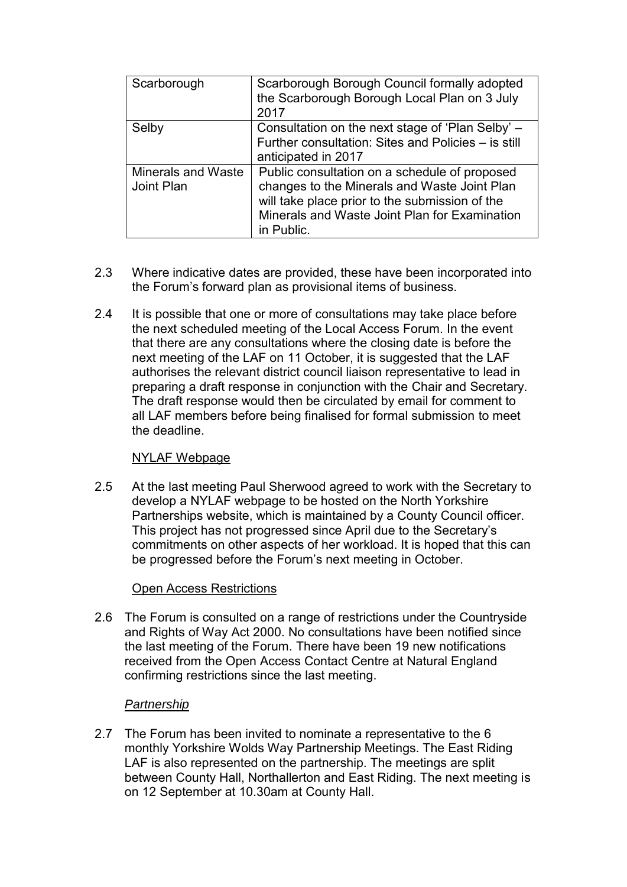| Scarborough                             | Scarborough Borough Council formally adopted<br>the Scarborough Borough Local Plan on 3 July<br>2017                                                                                                           |
|-----------------------------------------|----------------------------------------------------------------------------------------------------------------------------------------------------------------------------------------------------------------|
| Selby                                   | Consultation on the next stage of 'Plan Selby' -<br>Further consultation: Sites and Policies - is still<br>anticipated in 2017                                                                                 |
| <b>Minerals and Waste</b><br>Joint Plan | Public consultation on a schedule of proposed<br>changes to the Minerals and Waste Joint Plan<br>will take place prior to the submission of the<br>Minerals and Waste Joint Plan for Examination<br>in Public. |

- 2.3 Where indicative dates are provided, these have been incorporated into the Forum's forward plan as provisional items of business.
- 2.4 It is possible that one or more of consultations may take place before the next scheduled meeting of the Local Access Forum. In the event that there are any consultations where the closing date is before the next meeting of the LAF on 11 October, it is suggested that the LAF authorises the relevant district council liaison representative to lead in preparing a draft response in conjunction with the Chair and Secretary. The draft response would then be circulated by email for comment to all LAF members before being finalised for formal submission to meet the deadline.

#### NYLAF Webpage

2.5 At the last meeting Paul Sherwood agreed to work with the Secretary to develop a NYLAF webpage to be hosted on the North Yorkshire Partnerships website, which is maintained by a County Council officer. This project has not progressed since April due to the Secretary's commitments on other aspects of her workload. It is hoped that this can be progressed before the Forum's next meeting in October.

#### Open Access Restrictions

2.6 The Forum is consulted on a range of restrictions under the Countryside and Rights of Way Act 2000. No consultations have been notified since the last meeting of the Forum. There have been 19 new notifications received from the Open Access Contact Centre at Natural England confirming restrictions since the last meeting.

#### *Partnership*

2.7 The Forum has been invited to nominate a representative to the 6 monthly Yorkshire Wolds Way Partnership Meetings. The East Riding LAF is also represented on the partnership. The meetings are split between County Hall, Northallerton and East Riding. The next meeting is on 12 September at 10.30am at County Hall.